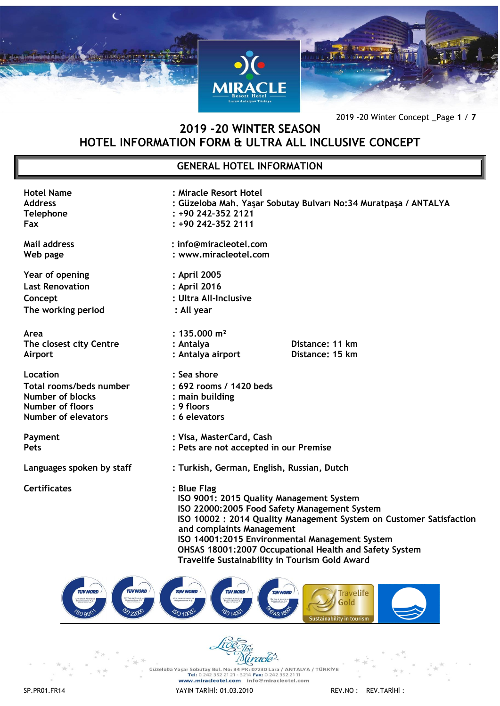

2019 -20 Winter Concept \_Page **1** / **7**

# **2019 -20 WINTER SEASON HOTEL INFORMATION FORM & ULTRA ALL INCLUSIVE CONCEPT**

# **GENERAL HOTEL INFORMATION**

| <b>Hotel Name</b><br><b>Address</b><br><b>Telephone</b><br>Fax                                                   | : Miracle Resort Hotel<br>$: +90242 - 35221$<br>: +90 242-352 2111                                                                                                                                                                                                                                                                                                       | : Güzeloba Mah. Yaşar Sobutay Bulvarı No:34 Muratpaşa / ANTALYA |  |
|------------------------------------------------------------------------------------------------------------------|--------------------------------------------------------------------------------------------------------------------------------------------------------------------------------------------------------------------------------------------------------------------------------------------------------------------------------------------------------------------------|-----------------------------------------------------------------|--|
| <b>Mail address</b><br>Web page                                                                                  | : info@miracleotel.com<br>: www.miracleotel.com                                                                                                                                                                                                                                                                                                                          |                                                                 |  |
| Year of opening<br><b>Last Renovation</b><br>Concept<br>The working period                                       | : April 2005<br>: April 2016<br>: Ultra All-Inclusive<br>: All year                                                                                                                                                                                                                                                                                                      |                                                                 |  |
| Area<br>The closest city Centre<br>Airport                                                                       | : $135.000 \text{ m}^2$<br>: Antalya<br>: Antalya airport                                                                                                                                                                                                                                                                                                                | Distance: 11 km<br>Distance: 15 km                              |  |
| Location<br>Total rooms/beds number<br><b>Number of blocks</b><br>Number of floors<br><b>Number of elevators</b> | : Sea shore<br>: 692 rooms / 1420 beds<br>: main building<br>: 9 floors<br>: 6 elevators                                                                                                                                                                                                                                                                                 |                                                                 |  |
| Payment<br>Pets                                                                                                  | : Visa, MasterCard, Cash<br>: Pets are not accepted in our Premise                                                                                                                                                                                                                                                                                                       |                                                                 |  |
| Languages spoken by staff                                                                                        | : Turkish, German, English, Russian, Dutch                                                                                                                                                                                                                                                                                                                               |                                                                 |  |
| <b>Certificates</b>                                                                                              | : Blue Flag<br>ISO 9001: 2015 Quality Management System<br>ISO 22000:2005 Food Safety Management System<br>ISO 10002: 2014 Quality Management System on Customer Satisfaction<br>and complaints Management<br>ISO 14001:2015 Environmental Management System<br>OHSAS 18001:2007 Occupational Health and Safety System<br>Travelife Sustainability in Tourism Gold Award |                                                                 |  |
|                                                                                                                  |                                                                                                                                                                                                                                                                                                                                                                          |                                                                 |  |





Cüzeloba Yaşar Sobutay Bul. No: 34 PK: 07230 Lara / ANTALYA / TÜRKİYE<br>Tel: 0 242 352 21 21 - 3214 Fax: 0 242 352 21 11<br>www.miracleotel.com info@miracleotel.com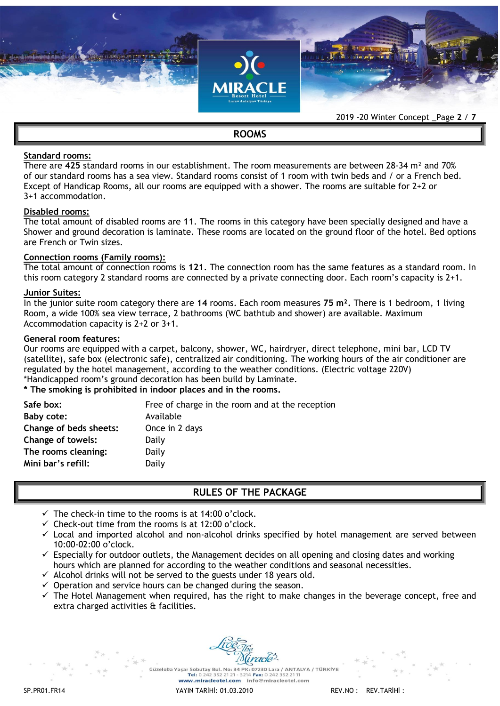

# **ROOMS**

### **Standard rooms:**

There are **425** standard rooms in our establishment. The room measurements are between 28-34 m² and 70% of our standard rooms has a sea view. Standard rooms consist of 1 room with twin beds and / or a French bed. Except of Handicap Rooms, all our rooms are equipped with a shower. The rooms are suitable for 2+2 or 3+1 accommodation.

### **Disabled rooms:**

The total amount of disabled rooms are **11**. The rooms in this category have been specially designed and have a Shower and ground decoration is laminate. These rooms are located on the ground floor of the hotel. Bed options are French or Twin sizes.

### **Connection rooms (Family rooms):**

The total amount of connection rooms is **121**. The connection room has the same features as a standard room. In this room category 2 standard rooms are connected by a private connecting door. Each room's capacity is 2+1.

### **Junior Suites:**

In the junior suite room category there are **14** rooms. Each room measures **75 m².** There is 1 bedroom, 1 living Room, a wide 100% sea view terrace, 2 bathrooms (WC bathtub and shower) are available. Maximum Accommodation capacity is 2+2 or 3+1.

### **General room features:**

Our rooms are equipped with a carpet, balcony, shower, WC, hairdryer, direct telephone, mini bar, LCD TV (satellite), safe box (electronic safe), centralized air conditioning. The working hours of the air conditioner are regulated by the hotel management, according to the weather conditions. (Electric voltage 220V) \*Handicapped room's ground decoration has been build by Laminate.

## **\* The smoking is prohibited in indoor places and in the rooms.**

| Safe box:                | Free of charge in the room and at the reception |
|--------------------------|-------------------------------------------------|
| Baby cote:               | Available                                       |
| Change of beds sheets:   | Once in 2 days                                  |
| <b>Change of towels:</b> | Daily                                           |
| The rooms cleaning:      | Daily                                           |
| Mini bar's refill:       | Daily                                           |
|                          |                                                 |

### **RULES OF THE PACKAGE**

- $\checkmark$  The check-in time to the rooms is at 14:00 o'clock.
- $\checkmark$  Check-out time from the rooms is at 12:00 o'clock.
- $\checkmark$  Local and imported alcohol and non-alcohol drinks specified by hotel management are served between 10:00-02:00 o'clock.
- $\checkmark$  Especially for outdoor outlets, the Management decides on all opening and closing dates and working hours which are planned for according to the weather conditions and seasonal necessities.
- $\checkmark$  Alcohol drinks will not be served to the guests under 18 years old.
- $\checkmark$  Operation and service hours can be changed during the season.
- $\checkmark$  The Hotel Management when required, has the right to make changes in the beverage concept, free and extra charged activities & facilities.

Güzeloba Yasar Sobutay Bul, No: 34 PK: 07230 Lara / ANTALYA / TÜRKİYE Tel: 0.242.352.21.21 - 3214 Fax: 0.242.352.2 www.miracleotel.com info@miracleotel.com

SP.PR01.FR14 YAYIN TARİHİ: 01.03.2010 REV.NO : REV.TARİHİ :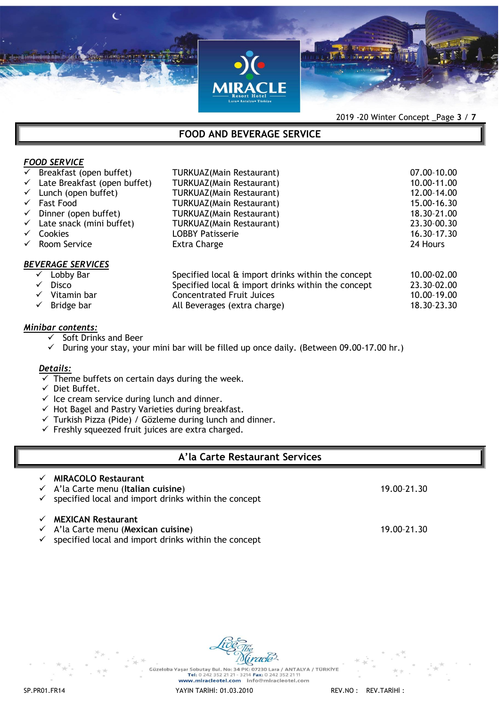

2019 -20 Winter Concept \_Page **3** / **7**

# **FOOD AND BEVERAGE SERVICE**

|              | $\checkmark$ Breakfast (open buffet)  | <b>TURKUAZ(Main Restaurant)</b>                    | 07.00-10.00 |
|--------------|---------------------------------------|----------------------------------------------------|-------------|
| $\checkmark$ | Late Breakfast (open buffet)          | <b>TURKUAZ(Main Restaurant)</b>                    | 10.00-11.00 |
| $\checkmark$ | Lunch (open buffet)                   | <b>TURKUAZ(Main Restaurant)</b>                    | 12.00-14.00 |
|              | $\checkmark$ Fast Food                | <b>TURKUAZ(Main Restaurant)</b>                    | 15.00-16.30 |
| $\checkmark$ | Dinner (open buffet)                  | <b>TURKUAZ(Main Restaurant)</b>                    | 18.30-21.00 |
|              | $\checkmark$ Late snack (mini buffet) | <b>TURKUAZ(Main Restaurant)</b>                    | 23.30-00.30 |
| $\checkmark$ | <b>Cookies</b>                        | <b>LOBBY Patisserie</b>                            | 16.30-17.30 |
| $\checkmark$ | Room Service                          | Extra Charge                                       | 24 Hours    |
|              | <b>BEVERAGE SERVICES</b>              |                                                    |             |
|              | Lobby Bar<br>$\checkmark$             | Specified local & import drinks within the concept | 10.00-02.00 |
|              | <b>Disco</b><br>$\checkmark$          | Specified local & import drinks within the concept | 23.30-02.00 |
|              | Vitamin bar                           | <b>Concentrated Fruit Juices</b>                   | 10.00-19.00 |
|              | Bridge bar                            | All Beverages (extra charge)                       | 18.30-23.30 |
|              |                                       |                                                    |             |

# *Minibar contents:*

*FOOD SERVICE* 

- Soft Drinks and Beer
- $\checkmark$  During your stay, your mini bar will be filled up once daily. (Between 09.00-17.00 hr.)

### *Details:*

- $\overline{\smash[b]{\mathsf{F}}}$  Theme buffets on certain days during the week.
- $\checkmark$  Diet Buffet.
- $\checkmark$  Ice cream service during lunch and dinner.
- $\checkmark$  Hot Bagel and Pastry Varieties during breakfast.
- $\checkmark$  Turkish Pizza (Pide) / Gözleme during lunch and dinner.
- $\checkmark$  Freshly squeezed fruit juices are extra charged.

# **A'la Carte Restaurant Services**

- **MIRACOLO Restaurant**  A'la Carte menu (**Italian cuisine**) 19.00–21.30  $\checkmark$  specified local and import drinks within the concept **MEXICAN Restaurant**  A'la Carte menu (**Mexican cuisine**) 19.00–21.30
- $\checkmark$  specified local and import drinks within the concept

Güzeloba Yasar Sobutay Bul, No: 34 PK; 07230 Lara / ANTALYA / TÜRKİYE 1988-1988-2021 2022 352 2121-2242 352 2124<br>WWW.miracleotel.com info@miracleotel.com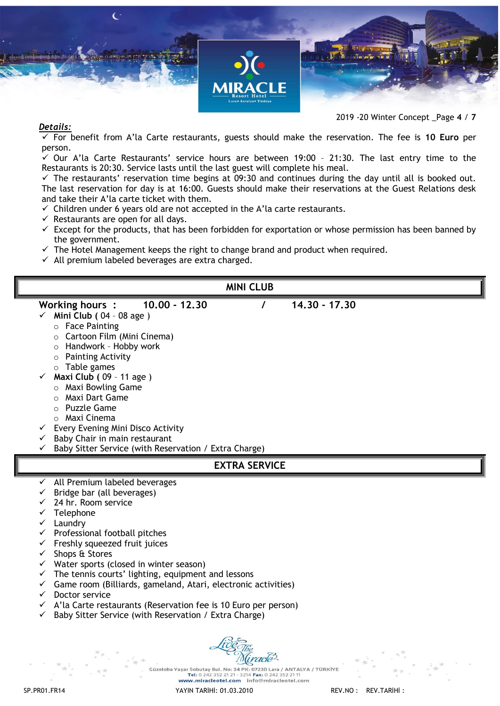



# *Details:*

2019 -20 Winter Concept \_Page **4** / **7**

 For benefit from A'la Carte restaurants, guests should make the reservation. The fee is **10 Euro** per person.

 $\checkmark$  Our A'la Carte Restaurants' service hours are between 19:00 - 21:30. The last entry time to the Restaurants is 20:30. Service lasts until the last guest will complete his meal.

 $\checkmark$  The restaurants' reservation time begins at 09:30 and continues during the day until all is booked out. The last reservation for day is at 16:00. Guests should make their reservations at the Guest Relations desk and take their A'la carte ticket with them.

- $\checkmark$  Children under 6 years old are not accepted in the A'la carte restaurants.
- $\checkmark$  Restaurants are open for all days.
- $\checkmark$  Except for the products, that has been forbidden for exportation or whose permission has been banned by the government.
- $\checkmark$  The Hotel Management keeps the right to change brand and product when required.
- $\checkmark$  All premium labeled beverages are extra charged.

| <b>MINI CLUB</b>                                                                                                                                                                                                                                                                                                                                                                                                                                                                                              |
|---------------------------------------------------------------------------------------------------------------------------------------------------------------------------------------------------------------------------------------------------------------------------------------------------------------------------------------------------------------------------------------------------------------------------------------------------------------------------------------------------------------|
| $10.00 - 12.30$<br>14,30 - 17,30<br>Working hours :<br>Mini Club ( $04 - 08$ age)<br>$\checkmark$<br>$\circ$ Face Painting<br>○ Cartoon Film (Mini Cinema)<br>o Handwork - Hobby work<br>$\circ$ Painting Activity<br>$\circ$ Table games<br>Maxi Club (09 - 11 age)<br>$\circ$ Maxi Bowling Game<br>Maxi Dart Game<br>Puzzle Game<br>$\circ$<br>$\circ$ Maxi Cinema<br>Every Evening Mini Disco Activity<br>Baby Chair in main restaurant<br>Baby Sitter Service (with Reservation / Extra Charge)           |
| <b>EXTRA SERVICE</b>                                                                                                                                                                                                                                                                                                                                                                                                                                                                                          |
| All Premium labeled beverages<br>Bridge bar (all beverages)                                                                                                                                                                                                                                                                                                                                                                                                                                                   |
| 24 hr. Room service<br>Telephone<br>Laundry<br>Professional football pitches<br>Freshly squeezed fruit juices<br>Shops & Stores<br>v.<br>Water sports (closed in winter season)<br>The tennis courts' lighting, equipment and lessons<br>$\checkmark$<br>Game room (Billiards, gameland, Atari, electronic activities)<br>$\checkmark$<br>Doctor service<br>✓<br>A'la Carte restaurants (Reservation fee is 10 Euro per person)<br>$\checkmark$<br>Baby Sitter Service (with Reservation / Extra Charge)<br>✓ |

Güzeloba Yaşar Sobutay Bul. No: 34 PK: 07230 Lara / ANTALYA / TÜRKİYE Tel: 0 242 352 21 21 - 3214 Fax: 0 242 352 2 www.miracleotel.com info@miracleotel.com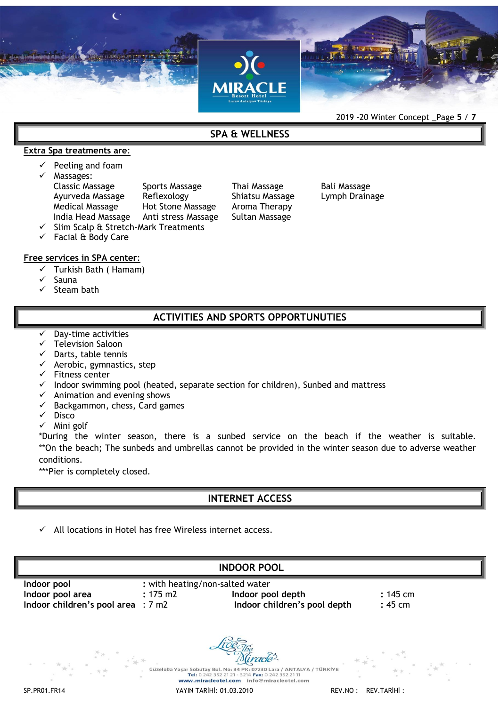

**SPA & WELLNESS** 

### **Extra Spa treatments are**:

- Peeling and foam
- Massages:

Classic Massage Sports Massage Thai Massage Bali Massage Ayurveda Massage Reflexology Shiatsu Massage Lymph Drainage Medical Massage Hot Stone Massage Aroma Therapy India Head Massage Anti stress Massage Sultan Massage Slim Scalp & Stretch-Mark Treatments

 $\checkmark$  Facial & Body Care

### **Free services in SPA center**:

- $\checkmark$  Turkish Bath (Hamam)
- Sauna
- $\sqrt{\phantom{a}}$  Steam bath

# **ACTIVITIES AND SPORTS OPPORTUNUTIES**

- Day-time activities
- Television Saloon
- $\checkmark$  Darts, table tennis
- $\checkmark$  Aerobic, gymnastics, step
- $\checkmark$  Fitness center
- $\checkmark$  Indoor swimming pool (heated, separate section for children), Sunbed and mattress
- $\checkmark$  Animation and evening shows
- $\checkmark$  Backgammon, chess, Card games
- $\checkmark$  Disco
- $\checkmark$  Mini golf

\*During the winter season, there is a sunbed service on the beach if the weather is suitable. \*\*On the beach; The sunbeds and umbrellas cannot be provided in the winter season due to adverse weather conditions.

\*\*\*Pier is completely closed.

# **INTERNET ACCESS**

All locations in Hotel has free Wireless internet access.



SP.PR01.FR14 YAYIN TARİHİ: 01.03.2010 REV.NO : REV.TARİHİ :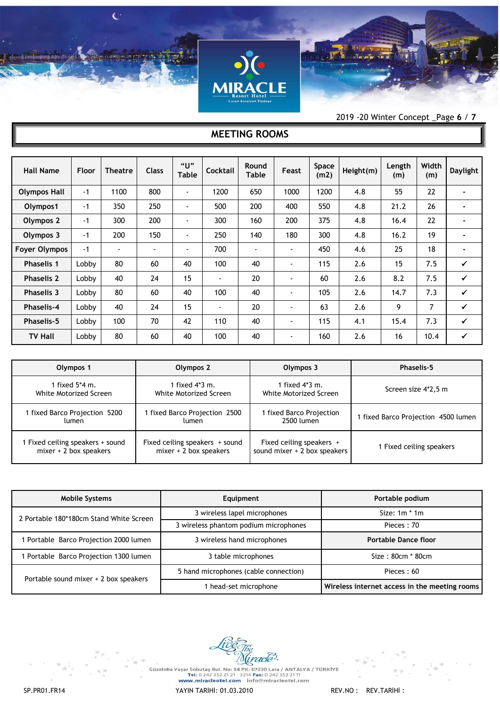

2019 -20 Winter Concept \_Page **6** / **7**

# **MEETING ROOMS**

| <b>Hall Name</b>     | Floor | <b>Theatre</b> | <b>Class</b>             | "U"<br><b>Table</b>      | Cocktail       | Round<br>Table | Feast          | Space<br>(m2) | Height(m) | Length<br>(m) | Width<br>(m) | <b>Daylight</b> |
|----------------------|-------|----------------|--------------------------|--------------------------|----------------|----------------|----------------|---------------|-----------|---------------|--------------|-----------------|
| <b>Olympos Hall</b>  | $-1$  | 1100           | 800                      | ٠                        | 1200           | 650            | 1000           | 1200          | 4.8       | 55            | 22           |                 |
| Olympos1             | $-1$  | 350            | 250                      | -                        | 500            | 200            | 400            | 550           | 4.8       | 21.2          | 26           |                 |
| Olympos 2            | $-1$  | 300            | 200                      | ٠                        | 300            | 160            | 200            | 375           | 4.8       | 16.4          | 22           | $\blacksquare$  |
| Olympos 3            | $-1$  | 200            | 150                      | $\blacksquare$           | 250            | 140            | 180            | 300           | 4.8       | 16.2          | 19           |                 |
| <b>Foyer Olympos</b> | $-1$  |                | $\overline{\phantom{0}}$ | $\overline{\phantom{0}}$ | 700            | $\blacksquare$ | $\blacksquare$ | 450           | 4.6       | 25            | 18           | $\blacksquare$  |
| <b>Phaselis 1</b>    | Lobby | 80             | 60                       | 40                       | 100            | 40             | $\blacksquare$ | 115           | 2.6       | 15            | 7.5          | $\checkmark$    |
| <b>Phaselis 2</b>    | Lobby | 40             | 24                       | 15                       | $\blacksquare$ | 20             | $\blacksquare$ | 60            | 2.6       | 8.2           | 7.5          | $\checkmark$    |
| <b>Phaselis 3</b>    | Lobby | 80             | 60                       | 40                       | 100            | 40             | $\blacksquare$ | 105           | 2.6       | 14.7          | 7.3          | $\checkmark$    |
| <b>Phaselis-4</b>    | Lobby | 40             | 24                       | 15                       | $\blacksquare$ | 20             | $\blacksquare$ | 63            | 2.6       | 9             | 7            | $\checkmark$    |
| <b>Phaselis-5</b>    | Lobby | 100            | 70                       | 42                       | 110            | 40             | $\blacksquare$ | 115           | 4.1       | 15.4          | 7.3          | $\checkmark$    |
| <b>TV Hall</b>       | Lobby | 80             | 60                       | 40                       | 100            | 40             | $\blacksquare$ | 160           | 2.6       | 16            | 10.4         | $\checkmark$    |

| Olympos 1                      | Olympos 2                      | Olympos 3                    | <b>Phaselis-5</b>                   |  |
|--------------------------------|--------------------------------|------------------------------|-------------------------------------|--|
| 1 fixed 5*4 m.                 | 1 fixed 4*3 m.                 | 1 fixed 4*3 m.               | Screen size 4*2,5 m                 |  |
| White Motorized Screen         | White Motorized Screen         | White Motorized Screen       |                                     |  |
| 1 fixed Barco Projection 5200  | fixed Barco Projection 2500    | 1 fixed Barco Projection     | 1 fixed Barco Projection 4500 lumen |  |
| lumen                          | lumen                          | 2500 lumen                   |                                     |  |
| Fixed ceiling speakers + sound | Fixed ceiling speakers + sound | Fixed ceiling speakers +     | 1 Fixed ceiling speakers            |  |
| $mixer + 2 box speakers$       | $mixer + 2$ box speakers       | sound mixer + 2 box speakers |                                     |  |

| <b>Mobile Systems</b>                   | Equipment                             | Portable podium                               |  |  |
|-----------------------------------------|---------------------------------------|-----------------------------------------------|--|--|
| 2 Portable 180*180cm Stand White Screen | 3 wireless lapel microphones          | Size: $1m * 1m$                               |  |  |
|                                         | 3 wireless phantom podium microphones | Pieces: 70                                    |  |  |
| Portable Barco Projection 2000 lumen    | 3 wireless hand microphones           | Portable Dance floor                          |  |  |
| Portable Barco Projection 1300 lumen    | 3 table microphones                   | $Size: 80cm * 80cm$                           |  |  |
| Portable sound mixer + 2 box speakers   | 5 hand microphones (cable connection) | Pieces: 60                                    |  |  |
|                                         | 1 head-set microphone                 | Wireless internet access in the meeting rooms |  |  |



-<br>Güzeloba Yaşar Sobutay Bul. No: 34 PK: 07230 Lara / ANTALYA / TÜRKİYE<br>Tel: 0 242 352 21 21 - 3214 Fax: 0 242 352 21 11<br>WWW.miracleotel.com info@miracleotel.com

SP.PR01.FR14 YAYIN TARİHİ: 01.03.2010 REV.NO : REV.TARİHİ :